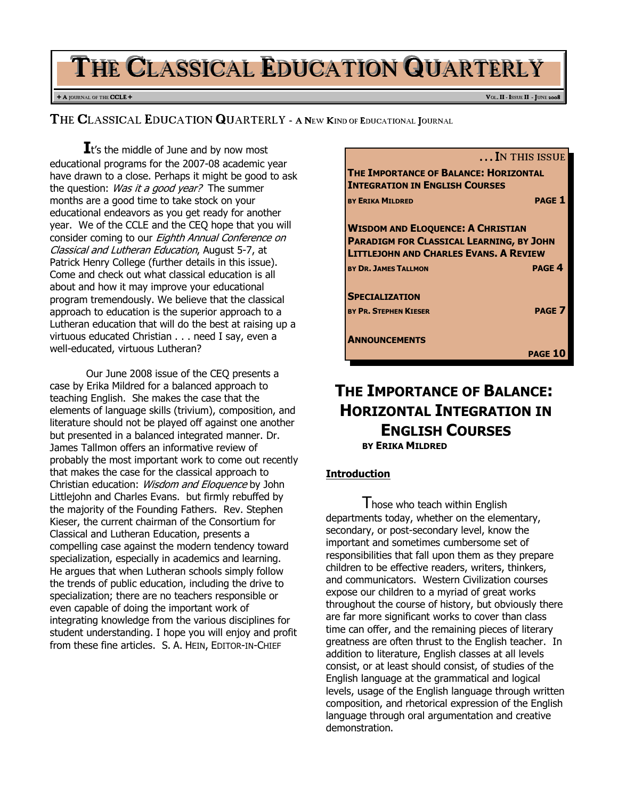# THE CLASSICAL EDUCATION QUARTERLY

#### + A JOURNAL OF THE CCLE + VOL. II - ISSUE II - JUNE 2008

THE CLASSICAL EDUCATION QUARTERLY - A NEW KIND OF EDUCATIONAL JOURNAL

 $\mathbf{I}$ t's the middle of June and by now most educational programs for the 2007-08 academic year have drawn to a close. Perhaps it might be good to ask the question: *Was it a good year?* The summer months are a good time to take stock on your educational endeavors as you get ready for another year. We of the CCLE and the CEQ hope that you will consider coming to our Eighth Annual Conference on Classical and Lutheran Education, August 5-7, at Patrick Henry College (further details in this issue). Come and check out what classical education is all about and how it may improve your educational program tremendously. We believe that the classical approach to education is the superior approach to a Lutheran education that will do the best at raising up a virtuous educated Christian . . . need I say, even a well-educated, virtuous Lutheran?

Our June 2008 issue of the CEQ presents a case by Erika Mildred for a balanced approach to teaching English. She makes the case that the elements of language skills (trivium), composition, and literature should not be played off against one another but presented in a balanced integrated manner. Dr. James Tallmon offers an informative review of probably the most important work to come out recently that makes the case for the classical approach to Christian education: Wisdom and Eloquence by John Littlejohn and Charles Evans. but firmly rebuffed by the majority of the Founding Fathers. Rev. Stephen Kieser, the current chairman of the Consortium for Classical and Lutheran Education, presents a compelling case against the modern tendency toward specialization, especially in academics and learning. He argues that when Lutheran schools simply follow the trends of public education, including the drive to specialization; there are no teachers responsible or even capable of doing the important work of integrating knowledge from the various disciplines for student understanding. I hope you will enjoy and profit from these fine articles. S. A. HEIN, EDITOR-IN-CHIEF



# THE IMPORTANCE OF BALANCE: HORIZONTAL INTEGRATION IN ENGLISH COURSES BY ERIKA MILDRED

### Introduction

I hose who teach within English departments today, whether on the elementary, secondary, or post-secondary level, know the important and sometimes cumbersome set of responsibilities that fall upon them as they prepare children to be effective readers, writers, thinkers, and communicators. Western Civilization courses expose our children to a myriad of great works throughout the course of history, but obviously there are far more significant works to cover than class time can offer, and the remaining pieces of literary greatness are often thrust to the English teacher. In addition to literature, English classes at all levels consist, or at least should consist, of studies of the English language at the grammatical and logical levels, usage of the English language through written composition, and rhetorical expression of the English language through oral argumentation and creative demonstration.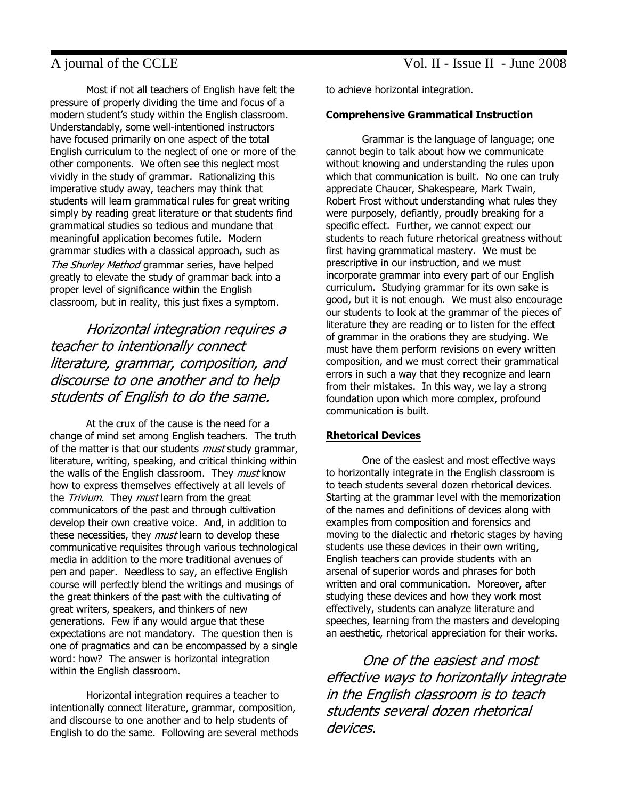Most if not all teachers of English have felt the pressure of properly dividing the time and focus of a modern student's study within the English classroom. Understandably, some well-intentioned instructors have focused primarily on one aspect of the total English curriculum to the neglect of one or more of the other components. We often see this neglect most vividly in the study of grammar. Rationalizing this imperative study away, teachers may think that students will learn grammatical rules for great writing simply by reading great literature or that students find grammatical studies so tedious and mundane that meaningful application becomes futile. Modern grammar studies with a classical approach, such as The Shurley Method grammar series, have helped greatly to elevate the study of grammar back into a proper level of significance within the English classroom, but in reality, this just fixes a symptom.

# Horizontal integration requires a teacher to intentionally connect literature, grammar, composition, and discourse to one another and to help students of English to do the same.

At the crux of the cause is the need for a change of mind set among English teachers. The truth of the matter is that our students *must* study grammar, literature, writing, speaking, and critical thinking within the walls of the English classroom. They *must* know how to express themselves effectively at all levels of the *Trivium*. They *must* learn from the great communicators of the past and through cultivation develop their own creative voice. And, in addition to these necessities, they *must* learn to develop these communicative requisites through various technological media in addition to the more traditional avenues of pen and paper. Needless to say, an effective English course will perfectly blend the writings and musings of the great thinkers of the past with the cultivating of great writers, speakers, and thinkers of new generations. Few if any would argue that these expectations are not mandatory. The question then is one of pragmatics and can be encompassed by a single word: how? The answer is horizontal integration within the English classroom.

Horizontal integration requires a teacher to intentionally connect literature, grammar, composition, and discourse to one another and to help students of English to do the same. Following are several methods to achieve horizontal integration.

#### Comprehensive Grammatical Instruction

Grammar is the language of language; one cannot begin to talk about how we communicate without knowing and understanding the rules upon which that communication is built. No one can truly appreciate Chaucer, Shakespeare, Mark Twain, Robert Frost without understanding what rules they were purposely, defiantly, proudly breaking for a specific effect. Further, we cannot expect our students to reach future rhetorical greatness without first having grammatical mastery. We must be prescriptive in our instruction, and we must incorporate grammar into every part of our English curriculum. Studying grammar for its own sake is good, but it is not enough. We must also encourage our students to look at the grammar of the pieces of literature they are reading or to listen for the effect of grammar in the orations they are studying. We must have them perform revisions on every written composition, and we must correct their grammatical errors in such a way that they recognize and learn from their mistakes. In this way, we lay a strong foundation upon which more complex, profound communication is built.

#### Rhetorical Devices

One of the easiest and most effective ways to horizontally integrate in the English classroom is to teach students several dozen rhetorical devices. Starting at the grammar level with the memorization of the names and definitions of devices along with examples from composition and forensics and moving to the dialectic and rhetoric stages by having students use these devices in their own writing, English teachers can provide students with an arsenal of superior words and phrases for both written and oral communication. Moreover, after studying these devices and how they work most effectively, students can analyze literature and speeches, learning from the masters and developing an aesthetic, rhetorical appreciation for their works.

One of the easiest and most effective ways to horizontally integrate in the English classroom is to teach students several dozen rhetorical devices.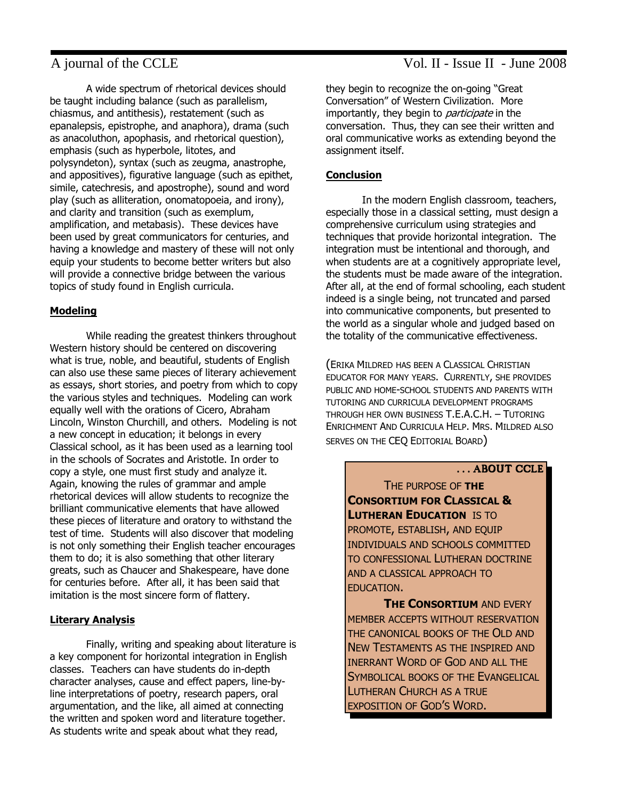A wide spectrum of rhetorical devices should be taught including balance (such as parallelism, chiasmus, and antithesis), restatement (such as epanalepsis, epistrophe, and anaphora), drama (such as anacoluthon, apophasis, and rhetorical question), emphasis (such as hyperbole, litotes, and polysyndeton), syntax (such as zeugma, anastrophe, and appositives), figurative language (such as epithet, simile, catechresis, and apostrophe), sound and word play (such as alliteration, onomatopoeia, and irony), and clarity and transition (such as exemplum, amplification, and metabasis). These devices have been used by great communicators for centuries, and having a knowledge and mastery of these will not only equip your students to become better writers but also will provide a connective bridge between the various topics of study found in English curricula.

### Modeling

While reading the greatest thinkers throughout Western history should be centered on discovering what is true, noble, and beautiful, students of English can also use these same pieces of literary achievement as essays, short stories, and poetry from which to copy the various styles and techniques. Modeling can work equally well with the orations of Cicero, Abraham Lincoln, Winston Churchill, and others. Modeling is not a new concept in education; it belongs in every Classical school, as it has been used as a learning tool in the schools of Socrates and Aristotle. In order to copy a style, one must first study and analyze it. Again, knowing the rules of grammar and ample rhetorical devices will allow students to recognize the brilliant communicative elements that have allowed these pieces of literature and oratory to withstand the test of time. Students will also discover that modeling is not only something their English teacher encourages them to do; it is also something that other literary greats, such as Chaucer and Shakespeare, have done for centuries before. After all, it has been said that imitation is the most sincere form of flattery.

### Literary Analysis

Finally, writing and speaking about literature is a key component for horizontal integration in English classes. Teachers can have students do in-depth character analyses, cause and effect papers, line-byline interpretations of poetry, research papers, oral argumentation, and the like, all aimed at connecting the written and spoken word and literature together. As students write and speak about what they read,

they begin to recognize the on-going "Great Conversation" of Western Civilization. More importantly, they begin to *participate* in the conversation. Thus, they can see their written and oral communicative works as extending beyond the assignment itself.

### **Conclusion**

In the modern English classroom, teachers, especially those in a classical setting, must design a comprehensive curriculum using strategies and techniques that provide horizontal integration. The integration must be intentional and thorough, and when students are at a cognitively appropriate level, the students must be made aware of the integration. After all, at the end of formal schooling, each student indeed is a single being, not truncated and parsed into communicative components, but presented to the world as a singular whole and judged based on the totality of the communicative effectiveness.

(ERIKA MILDRED HAS BEEN A CLASSICAL CHRISTIAN EDUCATOR FOR MANY YEARS. CURRENTLY, SHE PROVIDES PUBLIC AND HOME-SCHOOL STUDENTS AND PARENTS WITH TUTORING AND CURRICULA DEVELOPMENT PROGRAMS THROUGH HER OWN BUSINESS T.E.A.C.H. – TUTORING ENRICHMENT AND CURRICULA HELP. MRS. MILDRED ALSO SERVES ON THE CEQ EDITORIAL BOARD)

#### . . . ABOUT CCLE

THE PURPOSE OF THE CONSORTIUM FOR CLASSICAL & **LUTHERAN EDUCATION IS TO** PROMOTE, ESTABLISH, AND EQUIP INDIVIDUALS AND SCHOOLS COMMITTED TO CONFESSIONAL LUTHERAN DOCTRINE AND A CLASSICAL APPROACH TO EDUCATION.

**THE CONSORTIUM AND EVERY** MEMBER ACCEPTS WITHOUT RESERVATION THE CANONICAL BOOKS OF THE OLD AND NEW TESTAMENTS AS THE INSPIRED AND INERRANT WORD OF GOD AND ALL THE SYMBOLICAL BOOKS OF THE EVANGELICAL LUTHERAN CHURCH AS A TRUE EXPOSITION OF GOD'S WORD.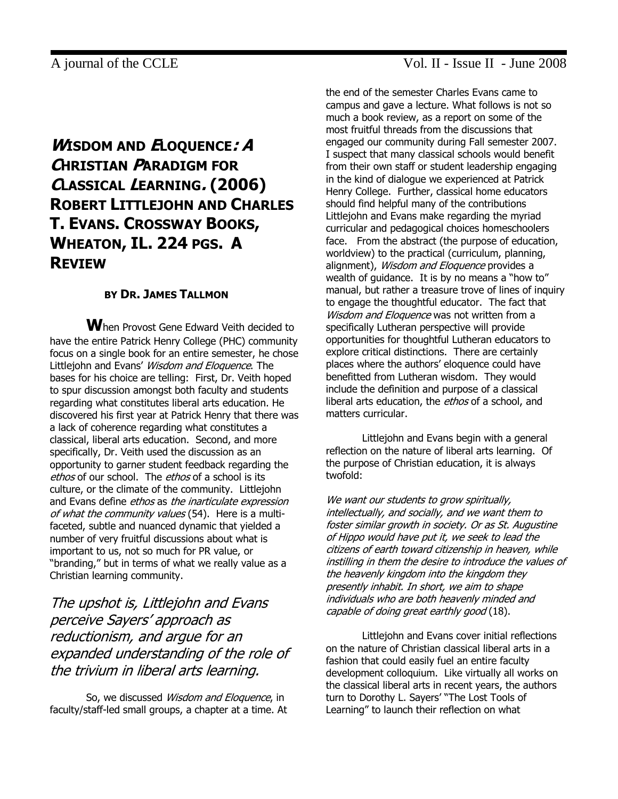# WISDOM AND ELOQUENCE: A CHRISTIAN PARADIGM FOR CLASSICAL LEARNING. (2006) ROBERT LITTLEJOHN AND CHARLES T. EVANS. CROSSWAY BOOKS, WHEATON, IL. 224 PGS. A REVIEW

### BY DR. JAMES TALLMON

When Provost Gene Edward Veith decided to have the entire Patrick Henry College (PHC) community focus on a single book for an entire semester, he chose Littlejohn and Evans' Wisdom and Eloquence. The bases for his choice are telling: First, Dr. Veith hoped to spur discussion amongst both faculty and students regarding what constitutes liberal arts education. He discovered his first year at Patrick Henry that there was a lack of coherence regarding what constitutes a classical, liberal arts education. Second, and more specifically, Dr. Veith used the discussion as an opportunity to garner student feedback regarding the ethos of our school. The ethos of a school is its culture, or the climate of the community. Littlejohn and Evans define ethos as the inarticulate expression of what the community values (54). Here is a multifaceted, subtle and nuanced dynamic that yielded a number of very fruitful discussions about what is important to us, not so much for PR value, or "branding," but in terms of what we really value as a Christian learning community.

The upshot is, Littlejohn and Evans perceive Sayers' approach as reductionism, and argue for an expanded understanding of the role of the trivium in liberal arts learning.

So, we discussed *Wisdom and Eloquence*, in faculty/staff-led small groups, a chapter at a time. At

# A journal of the CCLE Vol. II - Issue II - June 2008

the end of the semester Charles Evans came to campus and gave a lecture. What follows is not so much a book review, as a report on some of the most fruitful threads from the discussions that engaged our community during Fall semester 2007. I suspect that many classical schools would benefit from their own staff or student leadership engaging in the kind of dialogue we experienced at Patrick Henry College. Further, classical home educators should find helpful many of the contributions Littlejohn and Evans make regarding the myriad curricular and pedagogical choices homeschoolers face. From the abstract (the purpose of education, worldview) to the practical (curriculum, planning, alignment), Wisdom and Eloquence provides a wealth of guidance. It is by no means a "how to" manual, but rather a treasure trove of lines of inquiry to engage the thoughtful educator. The fact that Wisdom and Eloquence was not written from a specifically Lutheran perspective will provide opportunities for thoughtful Lutheran educators to explore critical distinctions. There are certainly places where the authors' eloquence could have benefitted from Lutheran wisdom. They would include the definition and purpose of a classical liberal arts education, the ethos of a school, and matters curricular.

Littlejohn and Evans begin with a general reflection on the nature of liberal arts learning. Of the purpose of Christian education, it is always twofold:

We want our students to grow spiritually, intellectually, and socially, and we want them to foster similar growth in society. Or as St. Augustine of Hippo would have put it, we seek to lead the citizens of earth toward citizenship in heaven, while instilling in them the desire to introduce the values of the heavenly kingdom into the kingdom they presently inhabit. In short, we aim to shape individuals who are both heavenly minded and capable of doing great earthly good (18).

Littlejohn and Evans cover initial reflections on the nature of Christian classical liberal arts in a fashion that could easily fuel an entire faculty development colloquium. Like virtually all works on the classical liberal arts in recent years, the authors turn to Dorothy L. Sayers' "The Lost Tools of Learning" to launch their reflection on what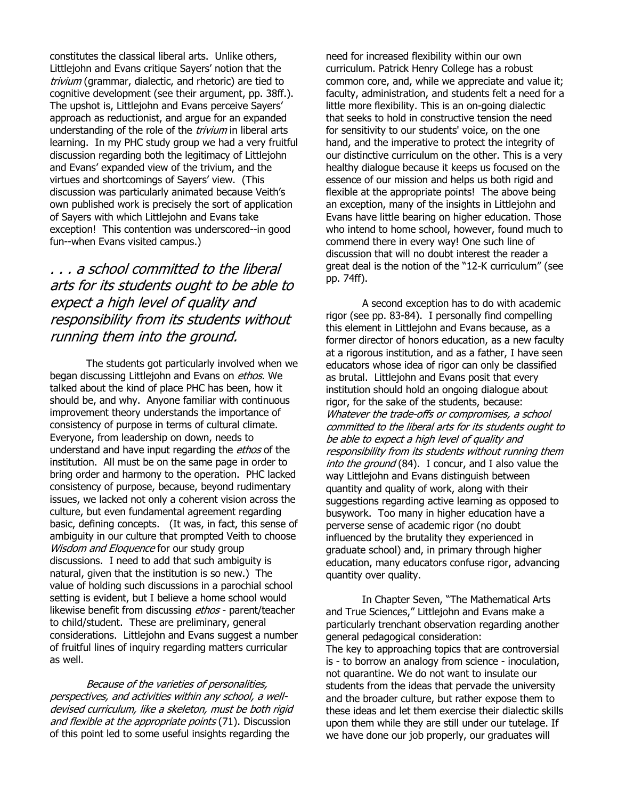constitutes the classical liberal arts. Unlike others, Littlejohn and Evans critique Sayers' notion that the trivium (grammar, dialectic, and rhetoric) are tied to cognitive development (see their argument, pp. 38ff.). The upshot is, Littlejohn and Evans perceive Sayers' approach as reductionist, and argue for an expanded understanding of the role of the *trivium* in liberal arts learning. In my PHC study group we had a very fruitful discussion regarding both the legitimacy of Littlejohn and Evans' expanded view of the trivium, and the virtues and shortcomings of Sayers' view. (This discussion was particularly animated because Veith's own published work is precisely the sort of application of Sayers with which Littlejohn and Evans take exception! This contention was underscored--in good fun--when Evans visited campus.)

# . . . a school committed to the liberal arts for its students ought to be able to expect a high level of quality and responsibility from its students without running them into the ground.

The students got particularly involved when we began discussing Littlejohn and Evans on *ethos*. We talked about the kind of place PHC has been, how it should be, and why. Anyone familiar with continuous improvement theory understands the importance of consistency of purpose in terms of cultural climate. Everyone, from leadership on down, needs to understand and have input regarding the *ethos* of the institution. All must be on the same page in order to bring order and harmony to the operation. PHC lacked consistency of purpose, because, beyond rudimentary issues, we lacked not only a coherent vision across the culture, but even fundamental agreement regarding basic, defining concepts. (It was, in fact, this sense of ambiguity in our culture that prompted Veith to choose Wisdom and Eloquence for our study group discussions. I need to add that such ambiguity is natural, given that the institution is so new.) The value of holding such discussions in a parochial school setting is evident, but I believe a home school would likewise benefit from discussing ethos - parent/teacher to child/student. These are preliminary, general considerations. Littlejohn and Evans suggest a number of fruitful lines of inquiry regarding matters curricular as well.

Because of the varieties of personalities, perspectives, and activities within any school, a welldevised curriculum, like a skeleton, must be both rigid and flexible at the appropriate points (71). Discussion of this point led to some useful insights regarding the

need for increased flexibility within our own curriculum. Patrick Henry College has a robust common core, and, while we appreciate and value it; faculty, administration, and students felt a need for a little more flexibility. This is an on-going dialectic that seeks to hold in constructive tension the need for sensitivity to our students' voice, on the one hand, and the imperative to protect the integrity of our distinctive curriculum on the other. This is a very healthy dialogue because it keeps us focused on the essence of our mission and helps us both rigid and flexible at the appropriate points! The above being an exception, many of the insights in Littlejohn and Evans have little bearing on higher education. Those who intend to home school, however, found much to commend there in every way! One such line of discussion that will no doubt interest the reader a great deal is the notion of the "12-K curriculum" (see pp. 74ff).

A second exception has to do with academic rigor (see pp. 83-84). I personally find compelling this element in Littlejohn and Evans because, as a former director of honors education, as a new faculty at a rigorous institution, and as a father, I have seen educators whose idea of rigor can only be classified as brutal. Littlejohn and Evans posit that every institution should hold an ongoing dialogue about rigor, for the sake of the students, because: Whatever the trade-offs or compromises, a school committed to the liberal arts for its students ought to be able to expect a high level of quality and responsibility from its students without running them into the ground (84). I concur, and I also value the way Littlejohn and Evans distinguish between quantity and quality of work, along with their suggestions regarding active learning as opposed to busywork. Too many in higher education have a perverse sense of academic rigor (no doubt influenced by the brutality they experienced in graduate school) and, in primary through higher education, many educators confuse rigor, advancing quantity over quality.

In Chapter Seven, "The Mathematical Arts and True Sciences," Littlejohn and Evans make a particularly trenchant observation regarding another general pedagogical consideration: The key to approaching topics that are controversial is - to borrow an analogy from science - inoculation, not quarantine. We do not want to insulate our students from the ideas that pervade the university and the broader culture, but rather expose them to these ideas and let them exercise their dialectic skills upon them while they are still under our tutelage. If we have done our job properly, our graduates will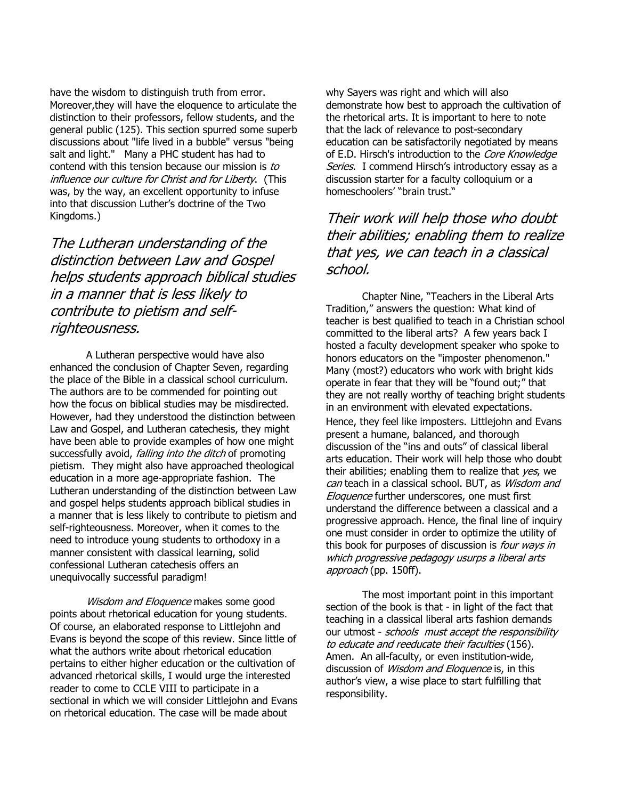have the wisdom to distinguish truth from error. Moreover,they will have the eloquence to articulate the distinction to their professors, fellow students, and the general public (125). This section spurred some superb discussions about "life lived in a bubble" versus "being salt and light." Many a PHC student has had to contend with this tension because our mission is to influence our culture for Christ and for Liberty. (This was, by the way, an excellent opportunity to infuse into that discussion Luther's doctrine of the Two Kingdoms.)

The Lutheran understanding of the distinction between Law and Gospel helps students approach biblical studies in a manner that is less likely to contribute to pietism and selfrighteousness.

A Lutheran perspective would have also enhanced the conclusion of Chapter Seven, regarding the place of the Bible in a classical school curriculum. The authors are to be commended for pointing out how the focus on biblical studies may be misdirected. However, had they understood the distinction between Law and Gospel, and Lutheran catechesis, they might have been able to provide examples of how one might successfully avoid, *falling into the ditch* of promoting pietism. They might also have approached theological education in a more age-appropriate fashion. The Lutheran understanding of the distinction between Law and gospel helps students approach biblical studies in a manner that is less likely to contribute to pietism and self-righteousness. Moreover, when it comes to the need to introduce young students to orthodoxy in a manner consistent with classical learning, solid confessional Lutheran catechesis offers an unequivocally successful paradigm!

Wisdom and Eloquence makes some good points about rhetorical education for young students. Of course, an elaborated response to Littlejohn and Evans is beyond the scope of this review. Since little of what the authors write about rhetorical education pertains to either higher education or the cultivation of advanced rhetorical skills, I would urge the interested reader to come to CCLE VIII to participate in a sectional in which we will consider Littlejohn and Evans on rhetorical education. The case will be made about

why Sayers was right and which will also demonstrate how best to approach the cultivation of the rhetorical arts. It is important to here to note that the lack of relevance to post-secondary education can be satisfactorily negotiated by means of E.D. Hirsch's introduction to the Core Knowledge Series. I commend Hirsch's introductory essay as a discussion starter for a faculty colloquium or a homeschoolers' "brain trust."

# Their work will help those who doubt their abilities; enabling them to realize that yes, we can teach in a classical school.

Chapter Nine, "Teachers in the Liberal Arts Tradition," answers the question: What kind of teacher is best qualified to teach in a Christian school committed to the liberal arts? A few years back I hosted a faculty development speaker who spoke to honors educators on the "imposter phenomenon." Many (most?) educators who work with bright kids operate in fear that they will be "found out;" that they are not really worthy of teaching bright students in an environment with elevated expectations. Hence, they feel like imposters. Littlejohn and Evans present a humane, balanced, and thorough discussion of the "ins and outs" of classical liberal arts education. Their work will help those who doubt their abilities; enabling them to realize that  $yes$ , we can teach in a classical school. BUT, as Wisdom and Eloquence further underscores, one must first understand the difference between a classical and a progressive approach. Hence, the final line of inquiry one must consider in order to optimize the utility of this book for purposes of discussion is *four ways in* which progressive pedagogy usurps a liberal arts approach (pp. 150ff).

The most important point in this important section of the book is that - in light of the fact that teaching in a classical liberal arts fashion demands our utmost - schools must accept the responsibility to educate and reeducate their faculties (156). Amen. An all-faculty, or even institution-wide, discussion of *Wisdom and Eloquence* is, in this author's view, a wise place to start fulfilling that responsibility.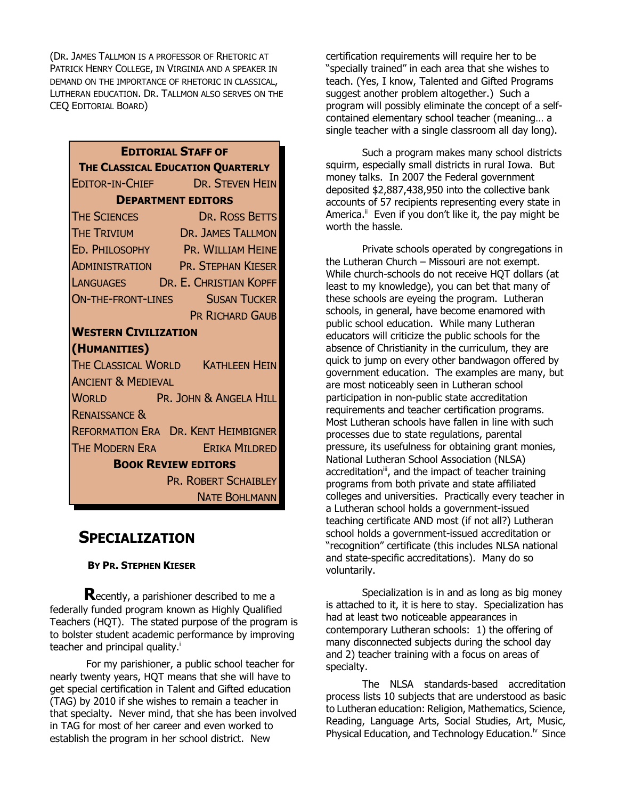(DR. JAMES TALLMON IS A PROFESSOR OF RHETORIC AT PATRICK HENRY COLLEGE, IN VIRGINIA AND A SPEAKER IN DEMAND ON THE IMPORTANCE OF RHETORIC IN CLASSICAL, LUTHERAN EDUCATION. DR. TALLMON ALSO SERVES ON THE CEQ EDITORIAL BOARD)

| <b>EDITORIAL STAFF OF</b>                                       |                        |
|-----------------------------------------------------------------|------------------------|
| THE CLASSICAL EDUCATION QUARTERLY                               |                        |
| EDITOR-IN-CHIEF DR. STEVEN HEIN                                 |                        |
| <b>DEPARTMENT EDITORS</b>                                       |                        |
| The Sciences<br>The Trivium<br>The Trivium<br>Dr. James Tallmon |                        |
|                                                                 |                        |
| ED. PHILOSOPHY PR. WILLIAM HEINE                                |                        |
| <b>ADMINISTRATION PR. STEPHAN KIESER</b>                        |                        |
| LANGUAGES DR. E. CHRISTIAN KOPFF                                |                        |
| <b>ON-THE-FRONT-LINES SUSAN TUCKER</b>                          |                        |
|                                                                 | <b>PR RICHARD GAUB</b> |
| <b>WESTERN CIVILIZATION</b>                                     |                        |
| (HUMANITIES)                                                    |                        |
| THE CLASSICAL WORLD KATHLEEN HEIN                               |                        |
| <b>ANCIENT &amp; MEDIEVAL</b>                                   |                        |
| WORLD PR. JOHN & ANGELA HILL                                    |                        |
| <b>RENAISSANCE &amp;</b>                                        |                        |
| <b>REFORMATION ERA DR. KENT HEIMBIGNER</b>                      |                        |
| THE MODERN ERA ERIKA MILDRED                                    |                        |
| <b>BOOK REVIEW EDITORS</b>                                      |                        |
| PR. ROBERT SCHAIBLEY                                            |                        |
|                                                                 | <b>NATE BOHLMANN</b>   |

# SPECIALIZATION

### BY PR. STEPHEN KIESER

**Recently, a parishioner described to me a** federally funded program known as Highly Qualified Teachers (HQT). The stated purpose of the program is to bolster student academic performance by improving teacher and principal quality.<sup>1</sup>

For my parishioner, a public school teacher for nearly twenty years, HQT means that she will have to get special certification in Talent and Gifted education (TAG) by 2010 if she wishes to remain a teacher in that specialty. Never mind, that she has been involved in TAG for most of her career and even worked to establish the program in her school district. New

certification requirements will require her to be "specially trained" in each area that she wishes to teach. (Yes, I know, Talented and Gifted Programs suggest another problem altogether.) Such a program will possibly eliminate the concept of a selfcontained elementary school teacher (meaning… a single teacher with a single classroom all day long).

Such a program makes many school districts squirm, especially small districts in rural Iowa. But money talks. In 2007 the Federal government deposited \$2,887,438,950 into the collective bank accounts of 57 recipients representing every state in America. $\mathbf{I}^{\prime\prime}$  Even if you don't like it, the pay might be worth the hassle.

Private schools operated by congregations in the Lutheran Church – Missouri are not exempt. While church-schools do not receive HQT dollars (at least to my knowledge), you can bet that many of these schools are eyeing the program. Lutheran schools, in general, have become enamored with public school education. While many Lutheran educators will criticize the public schools for the absence of Christianity in the curriculum, they are quick to jump on every other bandwagon offered by government education. The examples are many, but are most noticeably seen in Lutheran school participation in non-public state accreditation requirements and teacher certification programs. Most Lutheran schools have fallen in line with such processes due to state regulations, parental pressure, its usefulness for obtaining grant monies, National Lutheran School Association (NLSA) accreditation<sup>ii</sup>, and the impact of teacher training programs from both private and state affiliated colleges and universities. Practically every teacher in a Lutheran school holds a government-issued teaching certificate AND most (if not all?) Lutheran school holds a government-issued accreditation or "recognition" certificate (this includes NLSA national and state-specific accreditations). Many do so voluntarily.

Specialization is in and as long as big money is attached to it, it is here to stay. Specialization has had at least two noticeable appearances in contemporary Lutheran schools: 1) the offering of many disconnected subjects during the school day and 2) teacher training with a focus on areas of specialty.

The NLSA standards-based accreditation process lists 10 subjects that are understood as basic to Lutheran education: Religion, Mathematics, Science, Reading, Language Arts, Social Studies, Art, Music, Physical Education, and Technology Education.<sup>iv</sup> Since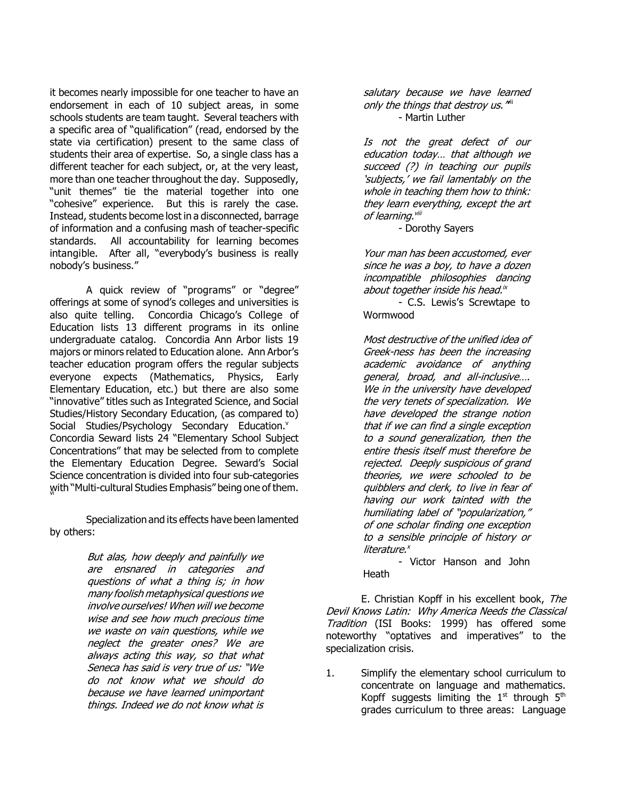it becomes nearly impossible for one teacher to have an endorsement in each of 10 subject areas, in some schools students are team taught. Several teachers with a specific area of "qualification" (read, endorsed by the state via certification) present to the same class of students their area of expertise. So, a single class has a different teacher for each subject, or, at the very least, more than one teacher throughout the day. Supposedly, "unit themes" tie the material together into one "cohesive" experience. But this is rarely the case. Instead, students become lost in a disconnected, barrage of information and a confusing mash of teacher-specific standards. All accountability for learning becomes intangible. After all, "everybody's business is really nobody's business."

A quick review of "programs" or "degree" offerings at some of synod's colleges and universities is also quite telling. Concordia Chicago's College of Education lists 13 different programs in its online undergraduate catalog. Concordia Ann Arbor lists 19 majors or minors related to Education alone. Ann Arbor's teacher education program offers the regular subjects everyone expects (Mathematics, Physics, Early Elementary Education, etc.) but there are also some "innovative" titles such as Integrated Science, and Social Studies/History Secondary Education, (as compared to) Social Studies/Psychology Secondary Education.<sup>v</sup> Concordia Seward lists 24 "Elementary School Subject Concentrations" that may be selected from to complete the Elementary Education Degree. Seward's Social Science concentration is divided into four sub-categories with "Multi-cultural Studies Emphasis" being one of them.

Specialization and its effects have been lamented by others:

> But alas, how deeply and painfully we are ensnared in categories and questions of what a thing is; in how many foolish metaphysical questions we involve ourselves! When will we become wise and see how much precious time we waste on vain questions, while we neglect the greater ones? We are always acting this way, so that what Seneca has said is very true of us: "We do not know what we should do because we have learned unimportant things. Indeed we do not know what is

salutary because we have learned only the things that destroy us. " - Martin Luther

Is not the great defect of our education today… that although we succeed (?) in teaching our pupils 'subjects,' we fail lamentably on the whole in teaching them how to think: they learn everything, except the art of learning.<sup>viii</sup>

- Dorothy Sayers

Your man has been accustomed, ever since he was a boy, to have a dozen incompatible philosophies dancing about together inside his head.<sup>ix</sup>

- C.S. Lewis's Screwtape to **Wormwood** 

Most destructive of the unified idea of Greek-ness has been the increasing academic avoidance of anything general, broad, and all-inclusive…. We in the university have developed the very tenets of specialization. We have developed the strange notion that if we can find a single exception to a sound generalization, then the entire thesis itself must therefore be rejected. Deeply suspicious of grand theories, we were schooled to be quibblers and clerk, to live in fear of having our work tainted with the humiliating label of "popularization," of one scholar finding one exception to a sensible principle of history or literature.<sup>x</sup>

- Victor Hanson and John **Heath** 

E. Christian Kopff in his excellent book, The Devil Knows Latin: Why America Needs the Classical Tradition (ISI Books: 1999) has offered some noteworthy "optatives and imperatives" to the specialization crisis.

1. Simplify the elementary school curriculum to concentrate on language and mathematics. Kopff suggests limiting the  $1<sup>st</sup>$  through  $5<sup>th</sup>$ grades curriculum to three areas: Language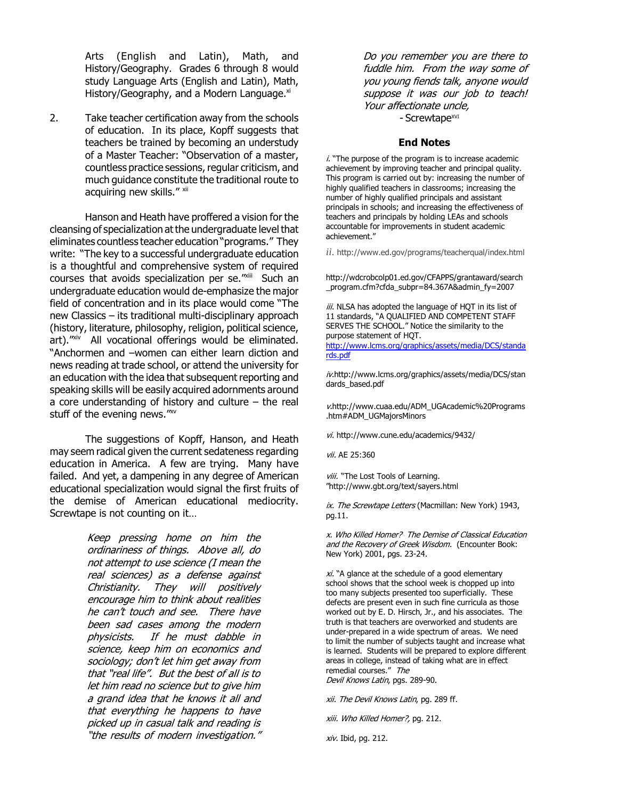Arts (English and Latin), Math, and History/Geography. Grades 6 through 8 would study Language Arts (English and Latin), Math, History/Geography, and a Modern Language.<sup>xi</sup>

2. Take teacher certification away from the schools of education. In its place, Kopff suggests that teachers be trained by becoming an understudy of a Master Teacher: "Observation of a master, countless practice sessions, regular criticism, and much guidance constitute the traditional route to acquiring new skills." xii

Hanson and Heath have proffered a vision for the cleansing of specialization at the undergraduate level that eliminates countless teacher education "programs." They write: "The key to a successful undergraduate education is a thoughtful and comprehensive system of required courses that avoids specialization per se."xiii Such an undergraduate education would de-emphasize the major field of concentration and in its place would come "The new Classics – its traditional multi-disciplinary approach (history, literature, philosophy, religion, political science, art)."xiv All vocational offerings would be eliminated. "Anchormen and –women can either learn diction and news reading at trade school, or attend the university for an education with the idea that subsequent reporting and speaking skills will be easily acquired adornments around a core understanding of history and culture – the real stuff of the evening news."<sup>xv</sup>

The suggestions of Kopff, Hanson, and Heath may seem radical given the current sedateness regarding education in America. A few are trying. Many have failed. And yet, a dampening in any degree of American educational specialization would signal the first fruits of the demise of American educational mediocrity. Screwtape is not counting on it…

> Keep pressing home on him the ordinariness of things. Above all, do not attempt to use science (I mean the real sciences) as a defense against Christianity. They will positively encourage him to think about realities he can't touch and see. There have been sad cases among the modern physicists. If he must dabble in science, keep him on economics and sociology; don't let him get away from that "real life". But the best of all is to let him read no science but to give him a grand idea that he knows it all and that everything he happens to have picked up in casual talk and reading is "the results of modern investigation."

Do you remember you are there to fuddle him. From the way some of you young fiends talk, anyone would suppose it was our job to teach! Your affectionate uncle, - Screwtape<sup>xvi</sup>

#### End Notes

 $i$ . "The purpose of the program is to increase academic achievement by improving teacher and principal quality. This program is carried out by: increasing the number of highly qualified teachers in classrooms; increasing the number of highly qualified principals and assistant principals in schools; and increasing the effectiveness of teachers and principals by holding LEAs and schools accountable for improvements in student academic achievement."

*ii*. http://www.ed.gov/programs/teacherqual/index.html

http://wdcrobcolp01.ed.gov/CFAPPS/grantaward/search \_program.cfm?cfda\_subpr=84.367A&admin\_fy=2007

iii. NLSA has adopted the language of HQT in its list of 11 standards, "A QUALIFIED AND COMPETENT STAFF SERVES THE SCHOOL." Notice the similarity to the purpose statement of HQT. http://www.lcms.org/graphics/assets/media/DCS/standa

rds.pdf

iv.http://www.lcms.org/graphics/assets/media/DCS/stan dards\_based.pdf

v.http://www.cuaa.edu/ADM\_UGAcademic%20Programs .htm#ADM\_UGMajorsMinors

vi. http://www.cune.edu/academics/9432/

vii. AE 25:360

viii. "The Lost Tools of Learning. "http://www.gbt.org/text/sayers.html

ix. The Screwtape Letters (Macmillan: New York) 1943, pg.11.

x. Who Killed Homer? The Demise of Classical Education and the Recovery of Greek Wisdom. (Encounter Book: New York) 2001, pgs. 23-24.

 $xi$ . "A glance at the schedule of a good elementary school shows that the school week is chopped up into too many subjects presented too superficially. These defects are present even in such fine curricula as those worked out by E. D. Hirsch, Jr., and his associates. The truth is that teachers are overworked and students are under-prepared in a wide spectrum of areas. We need to limit the number of subjects taught and increase what is learned. Students will be prepared to explore different areas in college, instead of taking what are in effect remedial courses." The Devil Knows Latin, pgs. 289-90.

xii. The Devil Knows Latin, pg. 289 ff.

xiii. Who Killed Homer?, pg. 212.

xiv. Ibid, pg. 212.